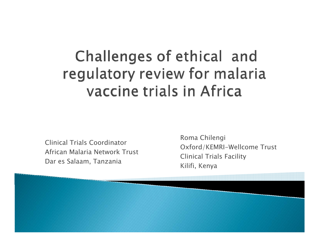#### Challenges of ethical and regulatory review for malaria vaccine trials in Africa

Clinical Trials Coordinator African Malaria Network TrustDar es Salaam, Tanzania

Roma Chilengi Oxford/KEMRI-Wellcome Trust Clinical Trials Facility Kilifi, Kenya

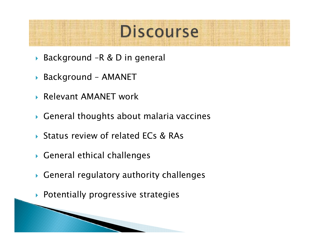#### **Discourse**

- ` Background –R & D in general
- ` Background AMANET
- ` Relevant AMANET work
- $\blacktriangleright$  General thoughts about malaria vaccines
- ▶ Status review of related ECs & RAs
- $\blacktriangleright$  General ethical challenges
- $\blacktriangleright$  General regulatory authority challenges
- $\blacktriangleright$  Potentially progressive strategies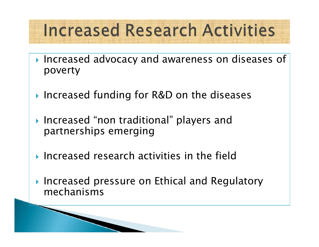### **Increased Research Activities**

- $\blacktriangleright$  Increased advocacy and awareness on diseases of poverty
- ▶ Increased funding for R&D on the diseases
- $\blacktriangleright$  Increased "non traditional" players and partnerships emerging
- $\blacktriangleright$  Increased research activities in the field
- $\blacktriangleright$  Increased pressure on Ethical and Regulatory mechanisms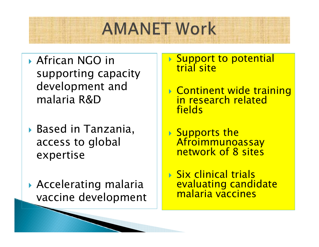## **AMANET Work**

- **African NGO in** supporting capacity development and malaria R&D
- ` Based in Tanzania, access to global expertise
- $\blacktriangleright$  Accelerating malaria vaccine development

## **> Support to potential<br>trial site**

- ` Continent wide training in research related fields
- ▶ Supports the Afroimmunoassay<br>network of 8 sites

**> Six clinical trials** evaluating candidate malaria vaccines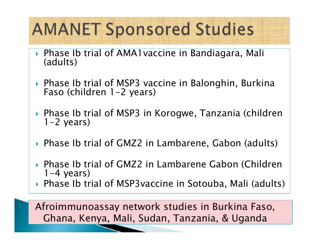## **AMANET Sponsored Studies**

- $\blacktriangleright$ Phase Ib trial of AMA1vaccine in Bandiagara, Mali (adults)
- ` Phase Ib trial of MSP3 vaccine in Balonghin, Burkina Faso (children 1-2 years)
- ` Phase Ib trial of MSP3 in Korogwe, Tanzania (children 1-2 years)
- ` Phase Ib trial of GMZ2 in Lambarene, Gabon (adults)
- ` Phase Ib trial of GMZ2 in Lambarene Gabon (Children  $1-4$  years)
- ` Phase Ib trial of MSP3vaccine in Sotouba, Mali (adults)

Afroimmunoassay network studies in Burkina Faso, Ghana, Kenya, Mali, Sudan, Tanzania, & Uganda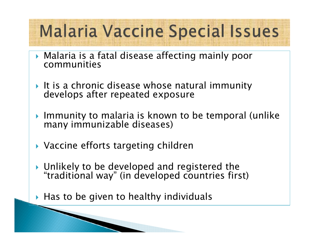## **Malaria Vaccine Special Issues**

- $\blacktriangleright$  Malaria is a fatal disease affecting mainly poor communities
- ` It is a chronic disease whose natural immunity develops after repeated exposure
- ` Immunity to malaria is known to be temporal (unlike many immunizable diseases)
- ▶ Vaccine efforts targeting children

- ` Unlikely to be developed and registered the "traditional way" (in developed countries first)
- $\blacktriangleright$  Has to be given to healthy individuals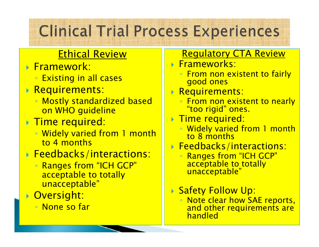#### **Clinical Trial Process Experiences**

#### Ethical Review

- ` Framework:
	- Existing in all cases
- ` Requirements:
	- Mostly standardized based on WHO guideline
- ` Time required:
	- Widely varied from 1 month to 4 months
- ` Feedbacks/interactions:
	- Ranges from "ICH GCP" acceptable to totally unacceptable"
- ` Oversight:
	- None so far

#### Regulatory CTA Review

- $\blacktriangleright$  Frameworks:
	- From non existent to fairly good ones
- $\blacktriangleright$  Requirements:
	- From non existent to nearly "too rigid" ones.
- $\blacktriangleright$  Time required:
	- Widely varied from 1 month to 8 months
- ` Feedbacks/interactions:
	- Ranges from "ICH GCP" acceptable to totally unacceptable"
- ` Safety Follow Up:
	- Note clear how SAE reports, and other requirements are handled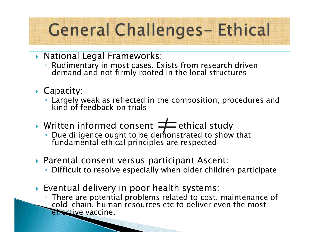## **General Challenges-Ethical**

- ` National Legal Frameworks:
	- Rudimentary in most cases. Exists from research driven demand and not firmly rooted in the local structures
- $\blacktriangleright$  Capacity:
	- Largely weak as reflected in the composition, procedures and<br>← kind of feedback on trials
- $\blacktriangleright$  Written informed consent  $\equiv$  ethical study
	- Due diligence ought to be deṁonstrated to show that<br>fundamental ethical principles are respected
- ` Parental consent versus participant Ascent: ◦ Difficult to resolve especially when older children participate
- $\blacktriangleright$  Eventual delivery in poor health systems:
	- There are potential problems related to cost, maintenance of cold-chain, human resources etc to deliver even the most effective vaccine.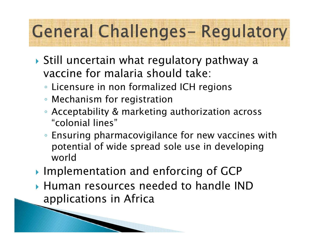# **General Challenges-Regulatory**

- $\blacktriangleright$  Still uncertain what regulatory pathway a vaccine for malaria should take:
	- Licensure in non formalized ICH regions
	- Mechanism for registration

- Acceptability & marketing authorization across "colonial lines"
- Ensuring pharmacovigilance for new vaccines with potential of wide spread sole use in developing world
- **Implementation and enforcing of GCP**
- $\blacktriangleright$  Human resources needed to handle IND  $\blacktriangleright$ applications in Africa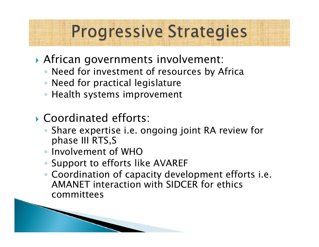### **Progressive Strategies**

- ` African governments involvement:
	- Need for investment of resources by Africa
	- Need for practical legislature
	- Health systems improvement
- **Coordinated efforts:** 
	- Share expertise i.e. ongoing joint RA review for phase III RTS,S
	- Involvement of WHO

- Support to efforts like AVAREF
- Coordination of capacity development efforts i.e. AMANET interaction with SIDCER for ethics committees